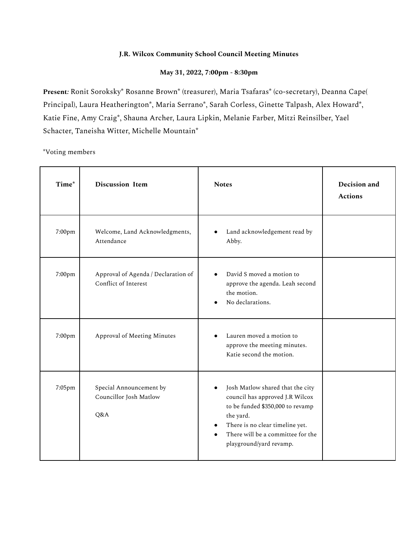## **J.R. Wilcox Community School Council Meeting Minutes**

## **May 31, 2022, 7:00pm - 8:30pm**

**Present***:* Ronit Soroksky\* Rosanne Brown\* (treasurer), Maria Tsafaras\* (co-secretary), Deanna Cape( Principal), Laura Heatherington\*, Maria Serrano\*, Sarah Corless, Ginette Talpash, Alex Howard\*, Katie Fine, Amy Craig\*, Shauna Archer, Laura Lipkin, Melanie Farber, Mitzi Reinsilber, Yael Schacter, Taneisha Witter, Michelle Mountain\*

\*Voting members

| Time*  | <b>Discussion Item</b>                                      | <b>Notes</b>                                                                                                                                                                                                                                      | Decision and<br><b>Actions</b> |
|--------|-------------------------------------------------------------|---------------------------------------------------------------------------------------------------------------------------------------------------------------------------------------------------------------------------------------------------|--------------------------------|
| 7:00pm | Welcome, Land Acknowledgments,<br>Attendance                | Land acknowledgement read by<br>Abby.                                                                                                                                                                                                             |                                |
| 7:00pm | Approval of Agenda / Declaration of<br>Conflict of Interest | David S moved a motion to<br>approve the agenda. Leah second<br>the motion.<br>No declarations.                                                                                                                                                   |                                |
| 7:00pm | Approval of Meeting Minutes                                 | Lauren moved a motion to<br>approve the meeting minutes.<br>Katie second the motion.                                                                                                                                                              |                                |
| 7:05pm | Special Announcement by<br>Councillor Josh Matlow<br>Q&A    | Josh Matlow shared that the city<br>$\bullet$<br>council has approved J.R Wilcox<br>to be funded \$350,000 to revamp<br>the yard.<br>There is no clear timeline yet.<br>$\bullet$<br>There will be a committee for the<br>playground/yard revamp. |                                |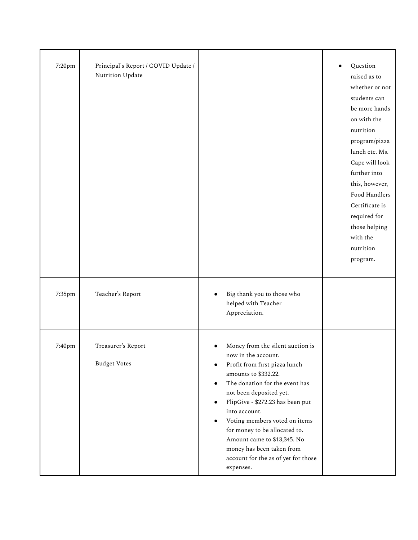| 7:20pm | Principal's Report / COVID Update /<br>Nutrition Update |                                                                                                                                                                                                                                                                                                                                                                                                                                                             | Question<br>raised as to<br>whether or not<br>students can<br>be more hands<br>on with the<br>nutrition<br>program/pizza<br>lunch etc. Ms.<br>Cape will look<br>further into<br>this, however,<br>Food Handlers<br>Certificate is<br>required for<br>those helping<br>with the<br>nutrition<br>program. |
|--------|---------------------------------------------------------|-------------------------------------------------------------------------------------------------------------------------------------------------------------------------------------------------------------------------------------------------------------------------------------------------------------------------------------------------------------------------------------------------------------------------------------------------------------|---------------------------------------------------------------------------------------------------------------------------------------------------------------------------------------------------------------------------------------------------------------------------------------------------------|
| 7:35pm | Teacher's Report                                        | Big thank you to those who<br>helped with Teacher<br>Appreciation.                                                                                                                                                                                                                                                                                                                                                                                          |                                                                                                                                                                                                                                                                                                         |
| 7:40pm | Treasurer's Report<br><b>Budget Votes</b>               | Money from the silent auction is<br>now in the account.<br>Profit from first pizza lunch<br>$\bullet$<br>amounts to \$332.22.<br>The donation for the event has<br>$\bullet$<br>not been deposited yet.<br>FlipGive - \$272.23 has been put<br>$\bullet$<br>into account.<br>Voting members voted on items<br>for money to be allocated to.<br>Amount came to \$13,345. No<br>money has been taken from<br>account for the as of yet for those<br>expenses. |                                                                                                                                                                                                                                                                                                         |